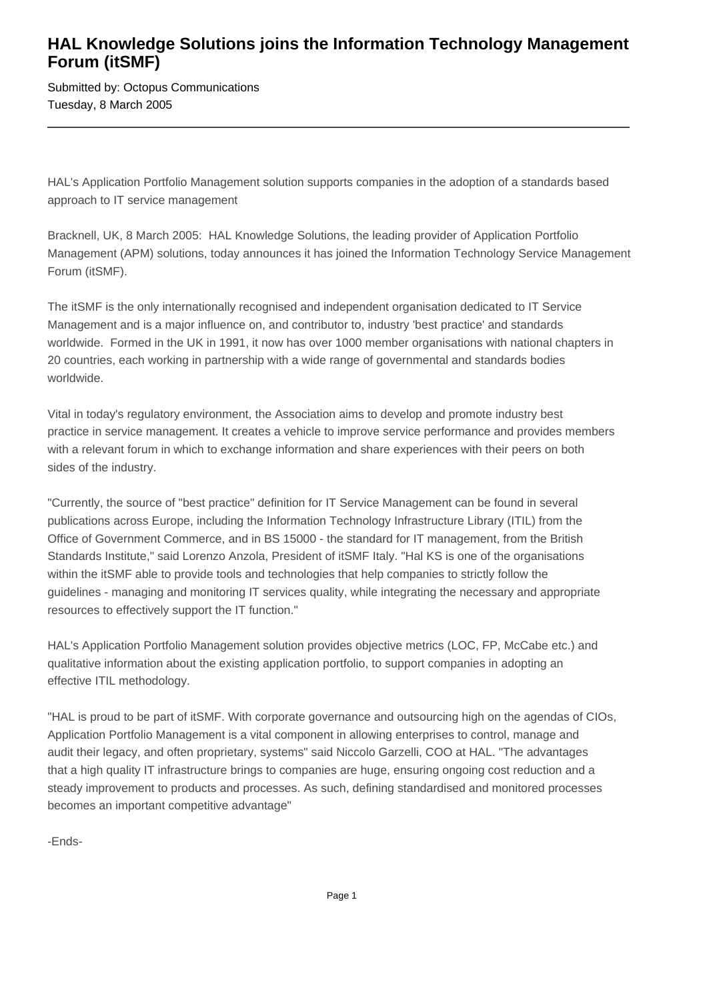## **HAL Knowledge Solutions joins the Information Technology Management Forum (itSMF)**

Submitted by: Octopus Communications Tuesday, 8 March 2005

HAL's Application Portfolio Management solution supports companies in the adoption of a standards based approach to IT service management

Bracknell, UK, 8 March 2005: HAL Knowledge Solutions, the leading provider of Application Portfolio Management (APM) solutions, today announces it has joined the Information Technology Service Management Forum (itSMF).

The itSMF is the only internationally recognised and independent organisation dedicated to IT Service Management and is a major influence on, and contributor to, industry 'best practice' and standards worldwide. Formed in the UK in 1991, it now has over 1000 member organisations with national chapters in 20 countries, each working in partnership with a wide range of governmental and standards bodies worldwide.

Vital in today's regulatory environment, the Association aims to develop and promote industry best practice in service management. It creates a vehicle to improve service performance and provides members with a relevant forum in which to exchange information and share experiences with their peers on both sides of the industry.

"Currently, the source of "best practice" definition for IT Service Management can be found in several publications across Europe, including the Information Technology Infrastructure Library (ITIL) from the Office of Government Commerce, and in BS 15000 - the standard for IT management, from the British Standards Institute," said Lorenzo Anzola, President of itSMF Italy. "Hal KS is one of the organisations within the itSMF able to provide tools and technologies that help companies to strictly follow the guidelines - managing and monitoring IT services quality, while integrating the necessary and appropriate resources to effectively support the IT function."

HAL's Application Portfolio Management solution provides objective metrics (LOC, FP, McCabe etc.) and qualitative information about the existing application portfolio, to support companies in adopting an effective ITIL methodology.

"HAL is proud to be part of itSMF. With corporate governance and outsourcing high on the agendas of CIOs, Application Portfolio Management is a vital component in allowing enterprises to control, manage and audit their legacy, and often proprietary, systems" said Niccolo Garzelli, COO at HAL. "The advantages that a high quality IT infrastructure brings to companies are huge, ensuring ongoing cost reduction and a steady improvement to products and processes. As such, defining standardised and monitored processes becomes an important competitive advantage"

-Ends-